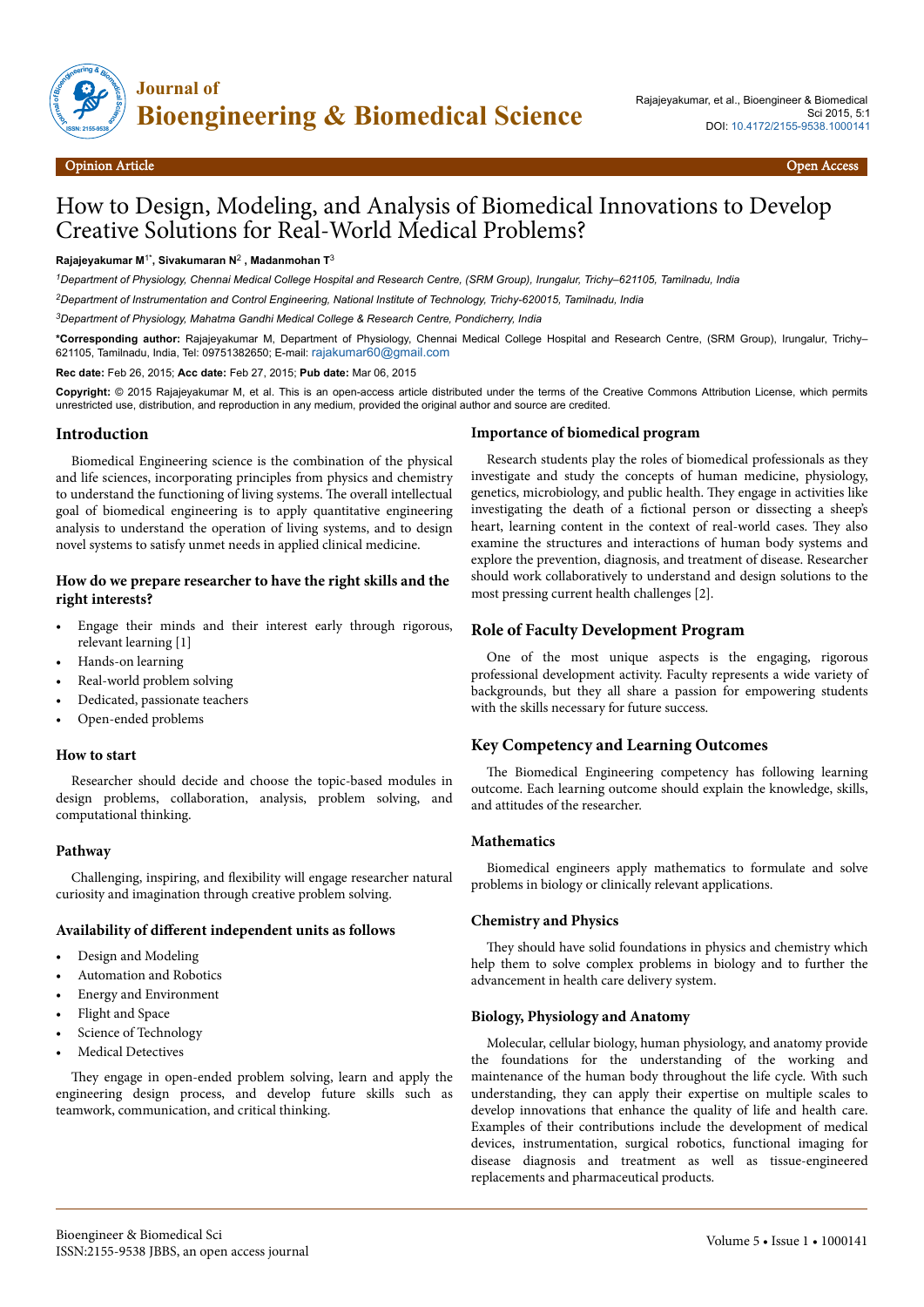

# How to Design, Modeling, and Analysis of Biomedical Innovations to Develop Creative Solutions for Real-World Medical Problems?

## **Rajajeyakumar M**1\***, Sivakumaran N**<sup>2</sup>  **, Madanmohan T**<sup>3</sup>

*<sup>1</sup>Department of Physiology, Chennai Medical College Hospital and Research Centre, (SRM Group), Irungalur, Trichy–621105, Tamilnadu, India*

*<sup>2</sup>Department of Instrumentation and Control Engineering, National Institute of Technology, Trichy-620015, Tamilnadu, India*

*<sup>3</sup>Department of Physiology, Mahatma Gandhi Medical College & Research Centre, Pondicherry, India*

**\*Corresponding author:** Rajajeyakumar M, Department of Physiology, Chennai Medical College Hospital and Research Centre, (SRM Group), Irungalur, Trichy– 621105, Tamilnadu, India, Tel: 09751382650; E-mail: [rajakumar60@gmail.com](mailto:rajakumar60@gmail.com)

**Rec date:** Feb 26, 2015; **Acc date:** Feb 27, 2015; **Pub date:** Mar 06, 2015

**Copyright:** © 2015 Rajajeyakumar M, et al. This is an open-access article distributed under the terms of the Creative Commons Attribution License, which permits unrestricted use, distribution, and reproduction in any medium, provided the original author and source are credited.

## **Introduction**

Biomedical Engineering science is the combination of the physical and life sciences, incorporating principles from physics and chemistry to understand the functioning of living systems. The overall intellectual goal of biomedical engineering is to apply quantitative engineering analysis to understand the operation of living systems, and to design novel systems to satisfy unmet needs in applied clinical medicine.

## **How do we prepare researcher to have the right skills and the right interests?**

- Engage their minds and their interest early through rigorous, relevant learning [1]
- Hands-on learning
- Real-world problem solving
- Dedicated, passionate teachers
- Open-ended problems

## **How to start**

Researcher should decide and choose the topic-based modules in design problems, collaboration, analysis, problem solving, and computational thinking.

#### **Pathway**

Challenging, inspiring, and flexibility will engage researcher natural curiosity and imagination through creative problem solving.

#### Availability of different independent units as follows

- Design and Modeling
- Automation and Robotics
- Energy and Environment
- Flight and Space
- Science of Technology
- Medical Detectives

They engage in open-ended problem solving, learn and apply the engineering design process, and develop future skills such as teamwork, communication, and critical thinking.

#### **Importance of biomedical program**

Research students play the roles of biomedical professionals as they investigate and study the concepts of human medicine, physiology, genetics, microbiology, and public health. They engage in activities like investigating the death of a fictional person or dissecting a sheep's heart, learning content in the context of real-world cases. They also examine the structures and interactions of human body systems and explore the prevention, diagnosis, and treatment of disease. Researcher should work collaboratively to understand and design solutions to the most pressing current health challenges [2].

## **Role of Faculty Development Program**

One of the most unique aspects is the engaging, rigorous professional development activity. Faculty represents a wide variety of backgrounds, but they all share a passion for empowering students with the skills necessary for future success.

# **Key Competency and Learning Outcomes**

The Biomedical Engineering competency has following learning outcome. Each learning outcome should explain the knowledge, skills, and attitudes of the researcher.

## **Mathematics**

Biomedical engineers apply mathematics to formulate and solve problems in biology or clinically relevant applications.

## **Chemistry and Physics**

They should have solid foundations in physics and chemistry which help them to solve complex problems in biology and to further the advancement in health care delivery system.

#### **Biology, Physiology and Anatomy**

Molecular, cellular biology, human physiology, and anatomy provide the foundations for the understanding of the working and maintenance of the human body throughout the life cycle. With such understanding, they can apply their expertise on multiple scales to develop innovations that enhance the quality of life and health care. Examples of their contributions include the development of medical devices, instrumentation, surgical robotics, functional imaging for disease diagnosis and treatment as well as tissue-engineered replacements and pharmaceutical products.